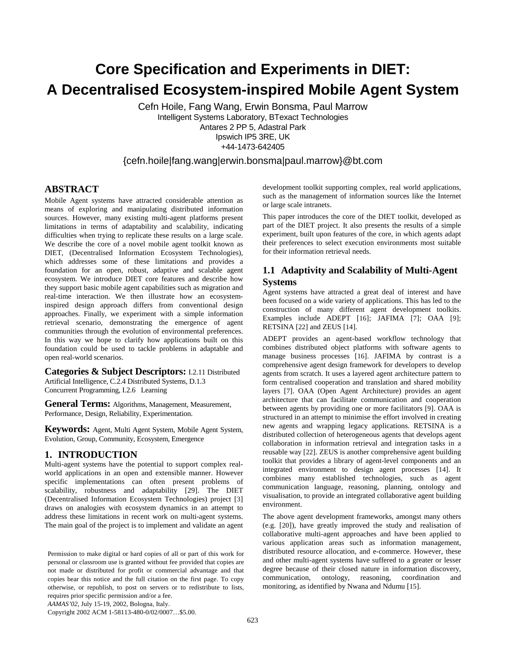# **Core Specification and Experiments in DIET: A Decentralised Ecosystem-inspired Mobile Agent System**

Cefn Hoile, Fang Wang, Erwin Bonsma, Paul Marrow Intelligent Systems Laboratory, BTexact Technologies Antares 2 PP 5, Adastral Park Ipswich IP5 3RE, UK +44-1473-642405

{cefn.hoile|fang.wang|erwin.bonsma|paul.marrow}@bt.com

### **ABSTRACT**

Mobile Agent systems have attracted considerable attention as means of exploring and manipulating distributed information sources. However, many existing multi-agent platforms present limitations in terms of adaptability and scalability, indicating difficulties when trying to replicate these results on a large scale. We describe the core of a novel mobile agent toolkit known as DIET, (Decentralised Information Ecosystem Technologies), which addresses some of these limitations and provides a foundation for an open, robust, adaptive and scalable agent ecosystem. We introduce DIET core features and describe how they support basic mobile agent capabilities such as migration and real-time interaction. We then illustrate how an ecosysteminspired design approach differs from conventional design approaches. Finally, we experiment with a simple information retrieval scenario, demonstrating the emergence of agent communities through the evolution of environmental preferences. In this way we hope to clarify how applications built on this foundation could be used to tackle problems in adaptable and open real-world scenarios.

**Categories & Subject Descriptors:** I.2.11 Distributed Artificial Intelligence, C.2.4 Distributed Systems, D.1.3 Concurrent Programming, I.2.6 Learning

**General Terms:** Algorithms, Management, Measurement, Performance, Design, Reliability, Experimentation.

**Keywords:** Agent, Multi Agent System, Mobile Agent System, Evolution, Group, Community, Ecosystem, Emergence

# **1. INTRODUCTION**

Multi-agent systems have the potential to support complex realworld applications in an open and extensible manner. However specific implementations can often present problems of scalability, robustness and adaptability [29]. The DIET (Decentralised Information Ecosystem Technologies) project [3] draws on analogies with ecosystem dynamics in an attempt to address these limitations in recent work on multi-agent systems. The main goal of the project is to implement and validate an agent

development toolkit supporting complex, real world applications, such as the management of information sources like the Internet or large scale intranets.

This paper introduces the core of the DIET toolkit, developed as part of the DIET project. It also presents the results of a simple experiment, built upon features of the core, in which agents adapt their preferences to select execution environments most suitable for their information retrieval needs.

# **1.1 Adaptivity and Scalability of Multi-Agent Systems**

Agent systems have attracted a great deal of interest and have been focused on a wide variety of applications. This has led to the construction of many different agent development toolkits. Examples include ADEPT [16]; JAFIMA [7]; OAA [9]; RETSINA [22] and ZEUS [14].

ADEPT provides an agent-based workflow technology that combines distributed object platforms with software agents to manage business processes [16]. JAFIMA by contrast is a comprehensive agent design framework for developers to develop agents from scratch. It uses a layered agent architecture pattern to form centralised cooperation and translation and shared mobility layers [7]. OAA (Open Agent Architecture) provides an agent architecture that can facilitate communication and cooperation between agents by providing one or more facilitators [9]. OAA is structured in an attempt to minimise the effort involved in creating new agents and wrapping legacy applications. RETSINA is a distributed collection of heterogeneous agents that develops agent collaboration in information retrieval and integration tasks in a reusable way [22]. ZEUS is another comprehensive agent building toolkit that provides a library of agent-level components and an integrated environment to design agent processes [14]. It combines many established technologies, such as agent communication language, reasoning, planning, ontology and visualisation, to provide an integrated collaborative agent building environment.

The above agent development frameworks, amongst many others (e.g. [20]), have greatly improved the study and realisation of collaborative multi-agent approaches and have been applied to various application areas such as information management, distributed resource allocation, and e-commerce. However, these and other multi-agent systems have suffered to a greater or lesser degree because of their closed nature in information discovery, communication, ontology, reasoning, coordination and monitoring, as identified by Nwana and Ndumu [15].

*AAMAS'02*, July 15-19, 2002, Bologna, Italy.

Permission to make digital or hard copies of all or part of this work for personal or classroom use is granted without fee provided that copies are not made or distributed for profit or commercial advantage and that copies bear this notice and the full citation on the first page. To copy otherwise, or republish, to post on servers or to redistribute to lists, requires prior specific permission and/or a fee.

Copyright 2002 ACM 1-58113-480-0/02/0007…\$5.00.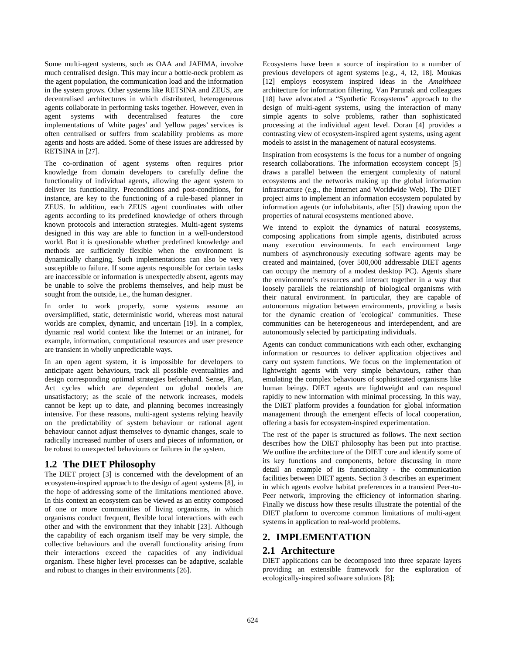Some multi-agent systems, such as OAA and JAFIMA, involve much centralised design. This may incur a bottle-neck problem as the agent population, the communication load and the information in the system grows. Other systems like RETSINA and ZEUS, are decentralised architectures in which distributed, heterogeneous agents collaborate in performing tasks together. However, even in agent systems with decentralised features the core implementations of 'white pages' and 'yellow pages' services is often centralised or suffers from scalability problems as more agents and hosts are added. Some of these issues are addressed by RETSINA in [27].

The co-ordination of agent systems often requires prior knowledge from domain developers to carefully define the functionality of individual agents, allowing the agent system to deliver its functionality. Preconditions and post-conditions, for instance, are key to the functioning of a rule-based planner in ZEUS. In addition, each ZEUS agent coordinates with other agents according to its predefined knowledge of others through known protocols and interaction strategies. Multi-agent systems designed in this way are able to function in a well-understood world. But it is questionable whether predefined knowledge and methods are sufficiently flexible when the environment is dynamically changing. Such implementations can also be very susceptible to failure. If some agents responsible for certain tasks are inaccessible or information is unexpectedly absent, agents may be unable to solve the problems themselves, and help must be sought from the outside, i.e., the human designer.

In order to work properly, some systems assume an oversimplified, static, deterministic world, whereas most natural worlds are complex, dynamic, and uncertain [19]. In a complex, dynamic real world context like the Internet or an intranet, for example, information, computational resources and user presence are transient in wholly unpredictable ways.

In an open agent system, it is impossible for developers to anticipate agent behaviours, track all possible eventualities and design corresponding optimal strategies beforehand. Sense, Plan, Act cycles which are dependent on global models are unsatisfactory; as the scale of the network increases, models cannot be kept up to date, and planning becomes increasingly intensive. For these reasons, multi-agent systems relying heavily on the predictability of system behaviour or rational agent behaviour cannot adjust themselves to dynamic changes, scale to radically increased number of users and pieces of information, or be robust to unexpected behaviours or failures in the system.

# **1.2 The DIET Philosophy**

The DIET project [3] is concerned with the development of an ecosystem-inspired approach to the design of agent systems [8], in the hope of addressing some of the limitations mentioned above. In this context an ecosystem can be viewed as an entity composed of one or more communities of living organisms, in which organisms conduct frequent, flexible local interactions with each other and with the environment that they inhabit [23]. Although the capability of each organism itself may be very simple, the collective behaviours and the overall functionality arising from their interactions exceed the capacities of any individual organism. These higher level processes can be adaptive, scalable and robust to changes in their environments [26].

Ecosystems have been a source of inspiration to a number of previous developers of agent systems [e.g., 4, 12, 18]. Moukas [12] employs ecosystem inspired ideas in the *Amalthaea* architecture for information filtering. Van Parunak and colleagues [18] have advocated a "Synthetic Ecosystems" approach to the design of multi-agent systems, using the interaction of many simple agents to solve problems, rather than sophisticated processing at the individual agent level. Doran [4] provides a contrasting view of ecosystem-inspired agent systems, using agent models to assist in the management of natural ecosystems.

Inspiration from ecosystems is the focus for a number of ongoing research collaborations. The information ecosystem concept [5] draws a parallel between the emergent complexity of natural ecosystems and the networks making up the global information infrastructure (e.g., the Internet and Worldwide Web). The DIET project aims to implement an information ecosystem populated by information agents (or infohabitants, after [5]) drawing upon the properties of natural ecosystems mentioned above.

We intend to exploit the dynamics of natural ecosystems, composing applications from simple agents, distributed across many execution environments. In each environment large numbers of asynchronously executing software agents may be created and maintained, (over 500,000 addressable DIET agents can occupy the memory of a modest desktop PC). Agents share the environment's resources and interact together in a way that loosely parallels the relationship of biological organisms with their natural environment. In particular, they are capable of autonomous migration between environments, providing a basis for the dynamic creation of 'ecological' communities. These communities can be heterogeneous and interdependent, and are autonomously selected by participating individuals.

Agents can conduct communications with each other, exchanging information or resources to deliver application objectives and carry out system functions. We focus on the implementation of lightweight agents with very simple behaviours, rather than emulating the complex behaviours of sophisticated organisms like human beings. DIET agents are lightweight and can respond rapidly to new information with minimal processing. In this way, the DIET platform provides a foundation for global information management through the emergent effects of local cooperation, offering a basis for ecosystem-inspired experimentation.

The rest of the paper is structured as follows. The next section describes how the DIET philosophy has been put into practise. We outline the architecture of the DIET core and identify some of its key functions and components, before discussing in more detail an example of its functionality - the communication facilities between DIET agents. Section 3 describes an experiment in which agents evolve habitat preferences in a transient Peer-to-Peer network, improving the efficiency of information sharing. Finally we discuss how these results illustrate the potential of the DIET platform to overcome common limitations of multi-agent systems in application to real-world problems.

# **2. IMPLEMENTATION**

# **2.1 Architecture**

DIET applications can be decomposed into three separate layers providing an extensible framework for the exploration of ecologically-inspired software solutions [8];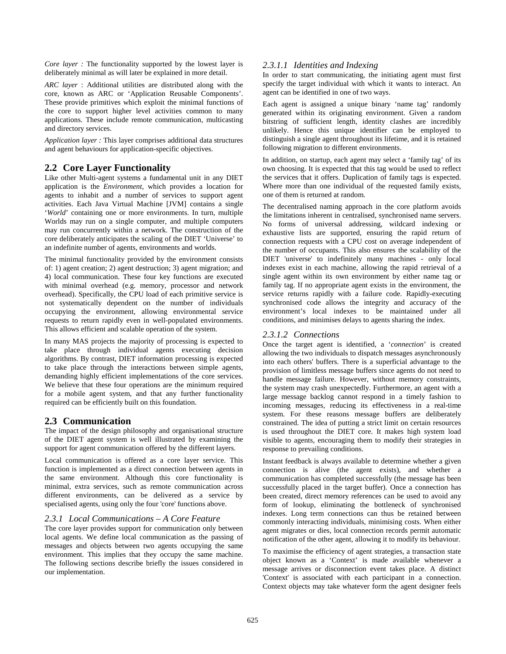*Core layer :* The functionality supported by the lowest layer is deliberately minimal as will later be explained in more detail.

*ARC layer* : Additional utilities are distributed along with the core, known as ARC or 'Application Reusable Components'. These provide primitives which exploit the minimal functions of the core to support higher level activities common to many applications. These include remote communication, multicasting and directory services.

*Application layer :* This layer comprises additional data structures and agent behaviours for application-specific objectives.

# **2.2 Core Layer Functionality**

Like other Multi-agent systems a fundamental unit in any DIET application is the *Environment*, which provides a location for agents to inhabit and a number of services to support agent activities. Each Java Virtual Machine [JVM] contains a single '*World*' containing one or more environments. In turn, multiple Worlds may run on a single computer, and multiple computers may run concurrently within a network. The construction of the core deliberately anticipates the scaling of the DIET 'Universe' to an indefinite number of agents, environments and worlds.

The minimal functionality provided by the environment consists of: 1) agent creation; 2) agent destruction; 3) agent migration; and 4) local communication. These four key functions are executed with minimal overhead (e.g. memory, processor and network overhead). Specifically, the CPU load of each primitive service is not systematically dependent on the number of individuals occupying the environment, allowing environmental service requests to return rapidly even in well-populated environments. This allows efficient and scalable operation of the system.

In many MAS projects the majority of processing is expected to take place through individual agents executing decision algorithms. By contrast, DIET information processing is expected to take place through the interactions between simple agents, demanding highly efficient implementations of the core services. We believe that these four operations are the minimum required for a mobile agent system, and that any further functionality required can be efficiently built on this foundation.

# **2.3 Communication**

The impact of the design philosophy and organisational structure of the DIET agent system is well illustrated by examining the support for agent communication offered by the different layers.

Local communication is offered as a core layer service. This function is implemented as a direct connection between agents in the same environment. Although this core functionality is minimal, extra services, such as remote communication across different environments, can be delivered as a service by specialised agents, using only the four 'core' functions above.

# *2.3.1 Local Communications – A Core Feature*

The core layer provides support for communication only between local agents. We define local communication as the passing of messages and objects between two agents occupying the same environment. This implies that they occupy the same machine. The following sections describe briefly the issues considered in our implementation.

### *2.3.1.1 Identities and Indexing*

In order to start communicating, the initiating agent must first specify the target individual with which it wants to interact. An agent can be identified in one of two ways.

Each agent is assigned a unique binary 'name tag' randomly generated within its originating environment. Given a random bitstring of sufficient length, identity clashes are incredibly unlikely. Hence this unique identifier can be employed to distinguish a single agent throughout its lifetime, and it is retained following migration to different environments.

In addition, on startup, each agent may select a 'family tag' of its own choosing. It is expected that this tag would be used to reflect the services that it offers. Duplication of family tags is expected. Where more than one individual of the requested family exists, one of them is returned at random.

The decentralised naming approach in the core platform avoids the limitations inherent in centralised, synchronised name servers. No forms of universal addressing, wildcard indexing or exhaustive lists are supported, ensuring the rapid return of connection requests with a CPU cost on average independent of the number of occupants. This also ensures the scalability of the DIET 'universe' to indefinitely many machines - only local indexes exist in each machine, allowing the rapid retrieval of a single agent within its own environment by either name tag or family tag. If no appropriate agent exists in the environment, the service returns rapidly with a failure code. Rapidly-executing synchronised code allows the integrity and accuracy of the environment's local indexes to be maintained under all conditions, and minimises delays to agents sharing the index.

# *2.3.1.2 Connections*

Once the target agent is identified, a '*connection*' is created allowing the two individuals to dispatch messages asynchronously into each others' buffers. There is a superficial advantage to the provision of limitless message buffers since agents do not need to handle message failure. However, without memory constraints, the system may crash unexpectedly. Furthermore, an agent with a large message backlog cannot respond in a timely fashion to incoming messages, reducing its effectiveness in a real-time system. For these reasons message buffers are deliberately constrained. The idea of putting a strict limit on certain resources is used throughout the DIET core. It makes high system load visible to agents, encouraging them to modify their strategies in response to prevailing conditions.

Instant feedback is always available to determine whether a given connection is alive (the agent exists), and whether a communication has completed successfully (the message has been successfully placed in the target buffer). Once a connection has been created, direct memory references can be used to avoid any form of lookup, eliminating the bottleneck of synchronised indexes. Long term connections can thus be retained between commonly interacting individuals, minimising costs. When either agent migrates or dies, local connection records permit automatic notification of the other agent, allowing it to modify its behaviour.

To maximise the efficiency of agent strategies, a transaction state object known as a 'Context' is made available whenever a message arrives or disconnection event takes place. A distinct 'Context' is associated with each participant in a connection. Context objects may take whatever form the agent designer feels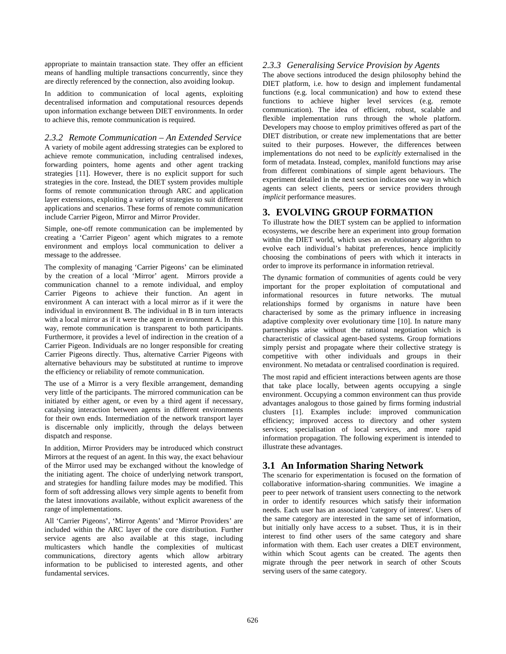appropriate to maintain transaction state. They offer an efficient means of handling multiple transactions concurrently, since they are directly referenced by the connection, also avoiding lookup.

In addition to communication of local agents, exploiting decentralised information and computational resources depends upon information exchange between DIET environments. In order to achieve this, remote communication is required.

*2.3.2 Remote Communication – An Extended Service* A variety of mobile agent addressing strategies can be explored to achieve remote communication, including centralised indexes, forwarding pointers, home agents and other agent tracking strategies [11]. However, there is no explicit support for such strategies in the core. Instead, the DIET system provides multiple forms of remote communication through ARC and application layer extensions, exploiting a variety of strategies to suit different applications and scenarios. These forms of remote communication include Carrier Pigeon, Mirror and Mirror Provider.

Simple, one-off remote communication can be implemented by creating a 'Carrier Pigeon' agent which migrates to a remote environment and employs local communication to deliver a message to the addressee.

The complexity of managing 'Carrier Pigeons' can be eliminated by the creation of a local 'Mirror' agent. Mirrors provide a communication channel to a remote individual, and employ Carrier Pigeons to achieve their function. An agent in environment A can interact with a local mirror as if it were the individual in environment B. The individual in B in turn interacts with a local mirror as if it were the agent in environment A. In this way, remote communication is transparent to both participants. Furthermore, it provides a level of indirection in the creation of a Carrier Pigeon. Individuals are no longer responsible for creating Carrier Pigeons directly. Thus, alternative Carrier Pigeons with alternative behaviours may be substituted at runtime to improve the efficiency or reliability of remote communication.

The use of a Mirror is a very flexible arrangement, demanding very little of the participants. The mirrored communication can be initiated by either agent, or even by a third agent if necessary, catalysing interaction between agents in different environments for their own ends. Intermediation of the network transport layer is discernable only implicitly, through the delays between dispatch and response.

In addition, Mirror Providers may be introduced which construct Mirrors at the request of an agent. In this way, the exact behaviour of the Mirror used may be exchanged without the knowledge of the initiating agent. The choice of underlying network transport, and strategies for handling failure modes may be modified. This form of soft addressing allows very simple agents to benefit from the latest innovations available, without explicit awareness of the range of implementations.

All 'Carrier Pigeons', 'Mirror Agents' and 'Mirror Providers' are included within the ARC layer of the core distribution. Further service agents are also available at this stage, including multicasters which handle the complexities of multicast communications, directory agents which allow arbitrary information to be publicised to interested agents, and other fundamental services.

# *2.3.3 Generalising Service Provision by Agents*

The above sections introduced the design philosophy behind the DIET platform, i.e. how to design and implement fundamental functions (e.g. local communication) and how to extend these functions to achieve higher level services (e.g. remote communication). The idea of efficient, robust, scalable and flexible implementation runs through the whole platform. Developers may choose to employ primitives offered as part of the DIET distribution, or create new implementations that are better suited to their purposes. However, the differences between implementations do not need to be *explicitly* externalised in the form of metadata. Instead, complex, manifold functions may arise from different combinations of simple agent behaviours. The experiment detailed in the next section indicates one way in which agents can select clients, peers or service providers through *implicit* performance measures.

# **3. EVOLVING GROUP FORMATION**

To illustrate how the DIET system can be applied to information ecosystems, we describe here an experiment into group formation within the DIET world, which uses an evolutionary algorithm to evolve each individual's habitat preferences, hence implicitly choosing the combinations of peers with which it interacts in order to improve its performance in information retrieval.

The dynamic formation of communities of agents could be very important for the proper exploitation of computational and informational resources in future networks. The mutual relationships formed by organisms in nature have been characterised by some as the primary influence in increasing adaptive complexity over evolutionary time [10]. In nature many partnerships arise without the rational negotiation which is characteristic of classical agent-based systems. Group formations simply persist and propagate where their collective strategy is competitive with other individuals and groups in their environment. No metadata or centralised coordination is required.

The most rapid and efficient interactions between agents are those that take place locally, between agents occupying a single environment. Occupying a common environment can thus provide advantages analogous to those gained by firms forming industrial clusters [1]. Examples include: improved communication efficiency; improved access to directory and other system services; specialisation of local services, and more rapid information propagation. The following experiment is intended to illustrate these advantages.

# **3.1 An Information Sharing Network**

The scenario for experimentation is focused on the formation of collaborative information-sharing communities. We imagine a peer to peer network of transient users connecting to the network in order to identify resources which satisfy their information needs. Each user has an associated 'category of interest'. Users of the same category are interested in the same set of information, but initially only have access to a subset. Thus, it is in their interest to find other users of the same category and share information with them. Each user creates a DIET environment, within which Scout agents can be created. The agents then migrate through the peer network in search of other Scouts serving users of the same category.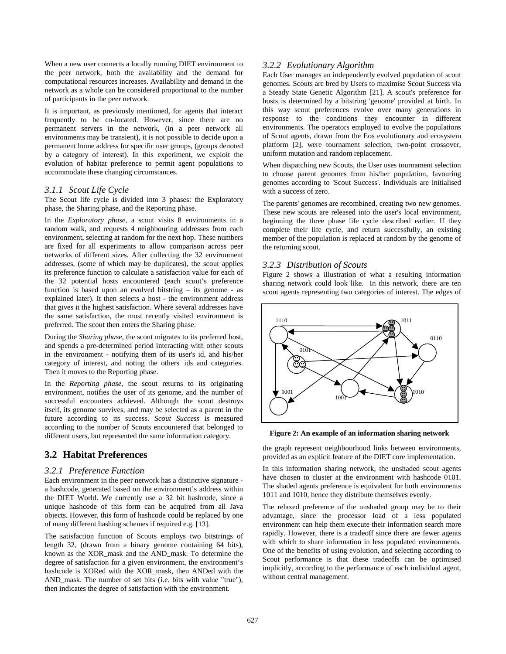When a new user connects a locally running DIET environment to the peer network, both the availability and the demand for computational resources increases. Availability and demand in the network as a whole can be considered proportional to the number of participants in the peer network.

It is important, as previously mentioned, for agents that interact frequently to be co-located. However, since there are no permanent servers in the network, (in a peer network all environments may be transient), it is not possible to decide upon a permanent home address for specific user groups, (groups denoted by a category of interest). In this experiment, we exploit the evolution of habitat preference to permit agent populations to accommodate these changing circumstances.

#### *3.1.1 Scout Life Cycle*

The Scout life cycle is divided into 3 phases: the Exploratory phase, the Sharing phase, and the Reporting phase.

In the *Exploratory phase*, a scout visits 8 environments in a random walk, and requests 4 neighbouring addresses from each environment, selecting at random for the next hop. These numbers are fixed for all experiments to allow comparison across peer networks of different sizes. After collecting the 32 environment addresses, (some of which may be duplicates), the scout applies its preference function to calculate a satisfaction value for each of the 32 potential hosts encountered (each scout's preference function is based upon an evolved bitstring – its genome - as explained later). It then selects a host - the environment address that gives it the highest satisfaction. Where several addresses have the same satisfaction, the most recently visited environment is preferred. The scout then enters the Sharing phase.

During the *Sharing phase*, the scout migrates to its preferred host, and spends a pre-determined period interacting with other scouts in the environment - notifying them of its user's id, and his/her category of interest, and noting the others' ids and categories. Then it moves to the Reporting phase.

In the *Reporting phase*, the scout returns to its originating environment, notifies the user of its genome, and the number of successful encounters achieved. Although the scout destroys itself, its genome survives, and may be selected as a parent in the future according to its success. *Scout Success* is measured according to the number of Scouts encountered that belonged to different users, but represented the same information category.

# **3.2 Habitat Preferences**

### *3.2.1 Preference Function*

Each environment in the peer network has a distinctive signature a hashcode, generated based on the environment's address within the DIET World. We currently use a 32 bit hashcode, since a unique hashcode of this form can be acquired from all Java objects. However, this form of hashcode could be replaced by one of many different hashing schemes if required e.g. [13].

The satisfaction function of Scouts employs two bitstrings of length 32, (drawn from a binary genome containing 64 bits), known as the XOR\_mask and the AND\_mask. To determine the degree of satisfaction for a given environment, the environment's hashcode is XORed with the XOR\_mask, then ANDed with the AND\_mask. The number of set bits (i.e. bits with value "true"), then indicates the degree of satisfaction with the environment.

### *3.2.2 Evolutionary Algorithm*

Each User manages an independently evolved population of scout genomes. Scouts are bred by Users to maximise Scout Success via a Steady State Genetic Algorithm [21]. A scout's preference for hosts is determined by a bitstring 'genome' provided at birth. In this way scout preferences evolve over many generations in response to the conditions they encounter in different environments. The operators employed to evolve the populations of Scout agents, drawn from the Eos evolutionary and ecosystem platform [2], were tournament selection, two-point crossover, uniform mutation and random replacement.

When dispatching new Scouts, the User uses tournament selection to choose parent genomes from his/her population, favouring genomes according to 'Scout Success'. Individuals are initialised with a success of zero.

The parents' genomes are recombined, creating two new genomes. These new scouts are released into the user's local environment, beginning the three phase life cycle described earlier. If they complete their life cycle, and return successfully, an existing member of the population is replaced at random by the genome of the returning scout.

#### *3.2.3 Distribution of Scouts*

Figure 2 shows a illustration of what a resulting information sharing network could look like. In this network, there are ten scout agents representing two categories of interest. The edges of



**Figure 2: An example of an information sharing network**

the graph represent neighbourhood links between environments, provided as an explicit feature of the DIET core implementation.

In this information sharing network, the unshaded scout agents have chosen to cluster at the environment with hashcode 0101. The shaded agents preference is equivalent for both environments 1011 and 1010, hence they distribute themselves evenly.

The relaxed preference of the unshaded group may be to their advantage, since the processor load of a less populated environment can help them execute their information search more rapidly. However, there is a tradeoff since there are fewer agents with which to share information in less populated environments. One of the benefits of using evolution, and selecting according to Scout performance is that these tradeoffs can be optimised implicitly, according to the performance of each individual agent, without central management.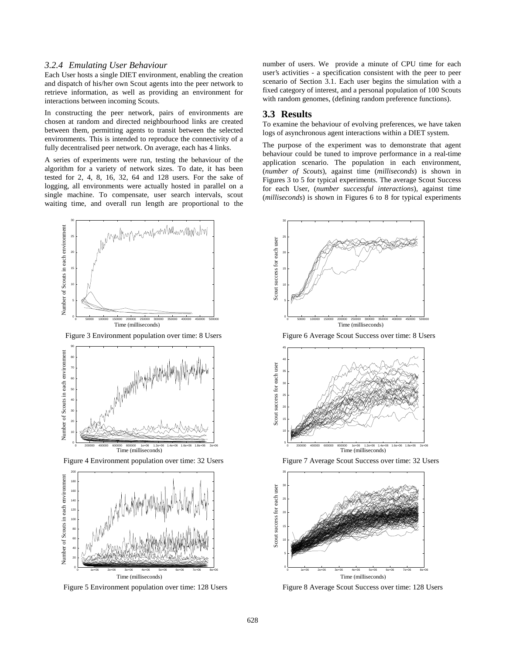#### *3.2.4 Emulating User Behaviour*

Each User hosts a single DIET environment, enabling the creation and dispatch of his/her own Scout agents into the peer network to retrieve information, as well as providing an environment for interactions between incoming Scouts.

In constructing the peer network, pairs of environments are chosen at random and directed neighbourhood links are created between them, permitting agents to transit between the selected environments. This is intended to reproduce the connectivity of a fully decentralised peer network. On average, each has 4 links.

A series of experiments were run, testing the behaviour of the algorithm for a variety of network sizes. To date, it has been tested for 2, 4, 8, 16, 32, 64 and 128 users. For the sake of logging, all environments were actually hosted in parallel on a single machine. To compensate, user search intervals, scout waiting time, and overall run length are proportional to the



number of users. We provide a minute of CPU time for each user's activities - a specification consistent with the peer to peer scenario of Section 3.1. Each user begins the simulation with a fixed category of interest, and a personal population of 100 Scouts with random genomes, (defining random preference functions).

### **3.3 Results**

To examine the behaviour of evolving preferences, we have taken logs of asynchronous agent interactions within a DIET system.

The purpose of the experiment was to demonstrate that agent behaviour could be tuned to improve performance in a real-time application scenario. The population in each environment, (*number of Scouts*), against time (*milliseconds*) is shown in Figures 3 to 5 for typical experiments. The average Scout Success for each User, (*number successful interactions*), against time (*milliseconds*) is shown in Figures 6 to 8 for typical experiments



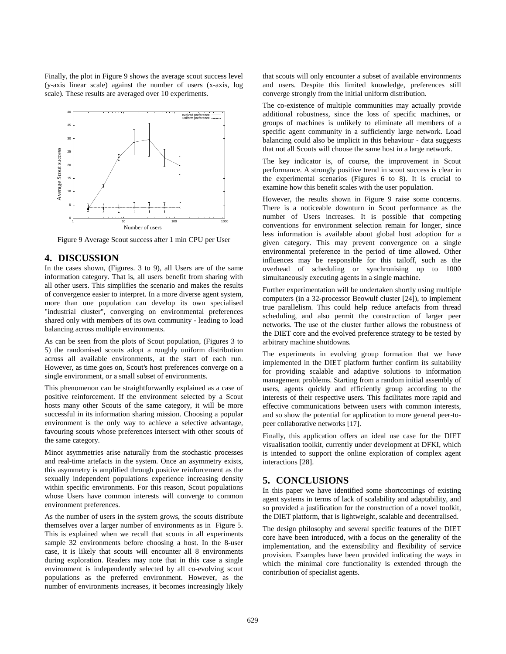Finally, the plot in Figure 9 shows the average scout success level (y-axis linear scale) against the number of users (x-axis, log scale). These results are averaged over 10 experiments.



Figure 9 Average Scout success after 1 min CPU per User

# **4. DISCUSSION**

In the cases shown, (Figures. 3 to 9), all Users are of the same information category. That is, all users benefit from sharing with all other users. This simplifies the scenario and makes the results of convergence easier to interpret. In a more diverse agent system, more than one population can develop its own specialised "industrial cluster", converging on environmental preferences shared only with members of its own community - leading to load balancing across multiple environments.

As can be seen from the plots of Scout population, (Figures 3 to 5) the randomised scouts adopt a roughly uniform distribution across all available environments, at the start of each run. However, as time goes on, Scout's host preferences converge on a single environment, or a small subset of environments.

This phenomenon can be straightforwardly explained as a case of positive reinforcement. If the environment selected by a Scout hosts many other Scouts of the same category, it will be more successful in its information sharing mission. Choosing a popular environment is the only way to achieve a selective advantage, favouring scouts whose preferences intersect with other scouts of the same category.

Minor asymmetries arise naturally from the stochastic processes and real-time artefacts in the system. Once an asymmetry exists, this asymmetry is amplified through positive reinforcement as the sexually independent populations experience increasing density within specific environments. For this reason, Scout populations whose Users have common interests will converge to common environment preferences.

As the number of users in the system grows, the scouts distribute themselves over a larger number of environments as in Figure 5. This is explained when we recall that scouts in all experiments sample 32 environments before choosing a host. In the 8-user case, it is likely that scouts will encounter all 8 environments during exploration. Readers may note that in this case a single environment is independently selected by all co-evolving scout populations as the preferred environment. However, as the number of environments increases, it becomes increasingly likely

that scouts will only encounter a subset of available environments and users. Despite this limited knowledge, preferences still converge strongly from the initial uniform distribution.

The co-existence of multiple communities may actually provide additional robustness, since the loss of specific machines, or groups of machines is unlikely to eliminate all members of a specific agent community in a sufficiently large network. Load balancing could also be implicit in this behaviour - data suggests that not all Scouts will choose the same host in a large network.

The key indicator is, of course, the improvement in Scout performance. A strongly positive trend in scout success is clear in the experimental scenarios (Figures 6 to 8). It is crucial to examine how this benefit scales with the user population.

However, the results shown in Figure 9 raise some concerns. There is a noticeable downturn in Scout performance as the number of Users increases. It is possible that competing conventions for environment selection remain for longer, since less information is available about global host adoption for a given category. This may prevent convergence on a single environmental preference in the period of time allowed. Other influences may be responsible for this tailoff, such as the overhead of scheduling or synchronising up to 1000 simultaneously executing agents in a single machine.

Further experimentation will be undertaken shortly using multiple computers (in a 32-processor Beowulf cluster [24]), to implement true parallelism. This could help reduce artefacts from thread scheduling, and also permit the construction of larger peer networks. The use of the cluster further allows the robustness of the DIET core and the evolved preference strategy to be tested by arbitrary machine shutdowns.

The experiments in evolving group formation that we have implemented in the DIET platform further confirm its suitability for providing scalable and adaptive solutions to information management problems. Starting from a random initial assembly of users, agents quickly and efficiently group according to the interests of their respective users. This facilitates more rapid and effective communications between users with common interests, and so show the potential for application to more general peer-topeer collaborative networks [17].

Finally, this application offers an ideal use case for the DIET visualisation toolkit, currently under development at DFKI, which is intended to support the online exploration of complex agent interactions [28].

# **5. CONCLUSIONS**

In this paper we have identified some shortcomings of existing agent systems in terms of lack of scalability and adaptability, and so provided a justification for the construction of a novel toolkit, the DIET platform, that is lightweight, scalable and decentralised.

The design philosophy and several specific features of the DIET core have been introduced, with a focus on the generality of the implementation, and the extensibility and flexibility of service provision. Examples have been provided indicating the ways in which the minimal core functionality is extended through the contribution of specialist agents.